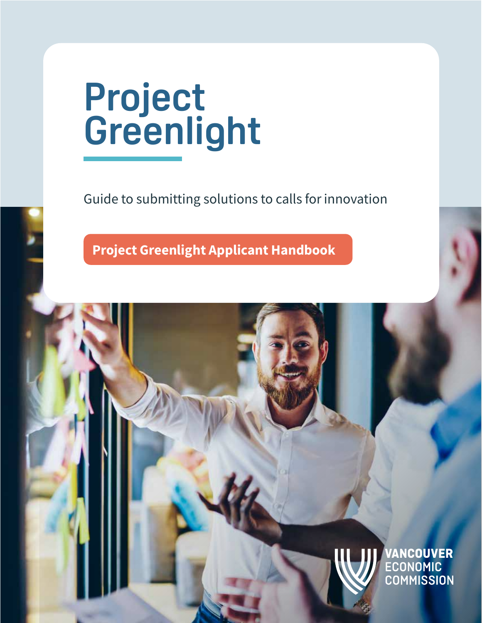# **Project Greenlight**

Guide to submitting solutions to calls for innovation

Project Greenlight | Application Handbook 1

Project Greenlight Applicant Handbook

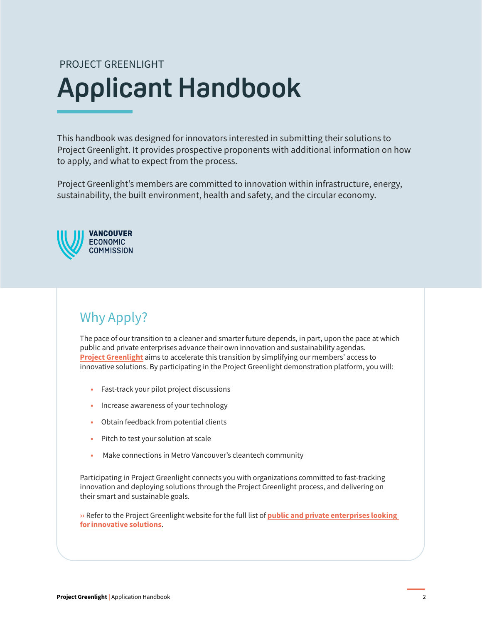# **Applicant Handbook** PROJECT GREENLIGHT

This handbook was designed for innovators interested in submitting their solutions to Project Greenlight. It provides prospective proponents with additional information on how to apply, and what to expect from the process.

Project Greenlight's members are committed to innovation within infrastructure, energy, sustainability, the built environment, health and safety, and the circular economy.



# Why Apply?

The pace of our transition to a cleaner and smarter future depends, in part, upon the pace at which public and private enterprises advance their own innovation and sustainability agendas. **Project Greenlight** aims to accelerate this transition by simplifying our members' access to innovative solutions. By participating in the Project Greenlight demonstration platform, you will:

- Fast-track your pilot project discussions
- Increase awareness of your technology
- Obtain feedback from potential clients
- Pitch to test your solution at scale
- Make connections in Metro Vancouver's cleantech community

Participating in Project Greenlight connects you with organizations committed to fast-tracking innovation and deploying solutions through the Project Greenlight process, and delivering on their smart and sustainable goals.

» Refer to the Project Greenlight website for the full list of **public and private enterprises looking** [for innovative solutions](https://projectgreenlight.io/).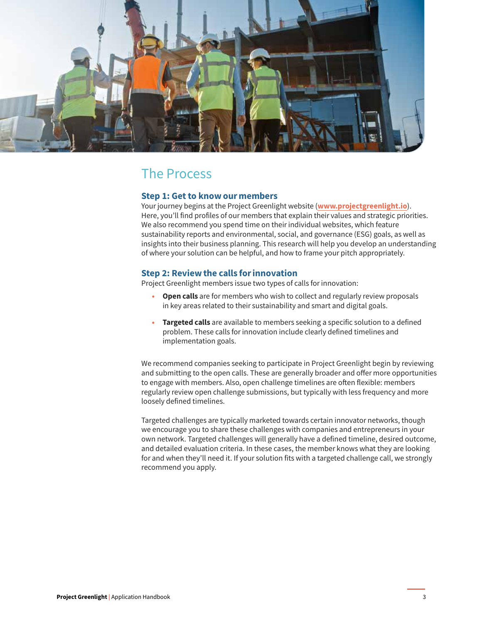

## The Process

#### Step 1: Get to know our members

Your journey begins at the Project Greenlight website ([www.projectgreenlight.io](https://projectgreenlight.io/)). Here, you'll find profiles of our members that explain their values and strategic priorities. We also recommend you spend time on their individual websites, which feature sustainability reports and environmental, social, and governance (ESG) goals, as well as insights into their business planning. This research will help you develop an understanding of where your solution can be helpful, and how to frame your pitch appropriately.

#### Step 2: Review the calls for innovation

Project Greenlight members issue two types of calls for innovation:

- Open calls are for members who wish to collect and regularly review proposals in key areas related to their sustainability and smart and digital goals.
- Targeted calls are available to members seeking a specific solution to a defined problem. These calls for innovation include clearly defined timelines and implementation goals.

We recommend companies seeking to participate in Project Greenlight begin by reviewing and submitting to the open calls. These are generally broader and offer more opportunities to engage with members. Also, open challenge timelines are often flexible: members regularly review open challenge submissions, but typically with less frequency and more loosely defined timelines.

Targeted challenges are typically marketed towards certain innovator networks, though we encourage you to share these challenges with companies and entrepreneurs in your own network. Targeted challenges will generally have a defined timeline, desired outcome, and detailed evaluation criteria. In these cases, the member knows what they are looking for and when they'll need it. If your solution fits with a targeted challenge call, we strongly recommend you apply.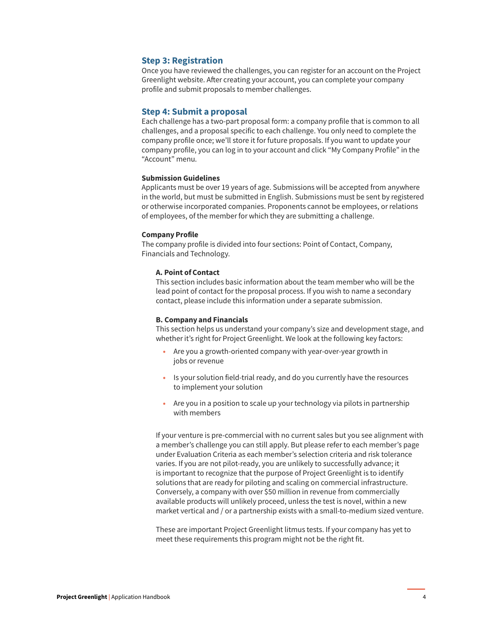#### Step 3: Registration

Once you have reviewed the challenges, you can register for an account on the Project Greenlight website. After creating your account, you can complete your company profile and submit proposals to member challenges.

#### Step 4: Submit a proposal

Each challenge has a two-part proposal form: a company profile that is common to all challenges, and a proposal specific to each challenge. You only need to complete the company profile once; we'll store it for future proposals. If you want to update your company profile, you can log in to your account and click "My Company Profile" in the "Account" menu.

#### Submission Guidelines

Applicants must be over 19 years of age. Submissions will be accepted from anywhere in the world, but must be submitted in English. Submissions must be sent by registered or otherwise incorporated companies. Proponents cannot be employees, or relations of employees, of the member for which they are submitting a challenge.

#### Company Profile

The company profile is divided into four sections: Point of Contact, Company, Financials and Technology.

#### A. Point of Contact

This section includes basic information about the team member who will be the lead point of contact for the proposal process. If you wish to name a secondary contact, please include this information under a separate submission.

#### B. Company and Financials

This section helps us understand your company's size and development stage, and whether it's right for Project Greenlight. We look at the following key factors:

- Are you a growth-oriented company with year-over-year growth in jobs or revenue
- Is your solution field-trial ready, and do you currently have the resources to implement your solution
- Are you in a position to scale up your technology via pilots in partnership with members

If your venture is pre-commercial with no current sales but you see alignment with a member's challenge you can still apply. But please refer to each member's page under Evaluation Criteria as each member's selection criteria and risk tolerance varies. If you are not pilot-ready, you are unlikely to successfully advance; it is important to recognize that the purpose of Project Greenlight is to identify solutions that are ready for piloting and scaling on commercial infrastructure. Conversely, a company with over \$50 million in revenue from commercially available products will unlikely proceed, unless the test is novel, within a new market vertical and / or a partnership exists with a small-to-medium sized venture.

These are important Project Greenlight litmus tests. If your company has yet to meet these requirements this program might not be the right fit.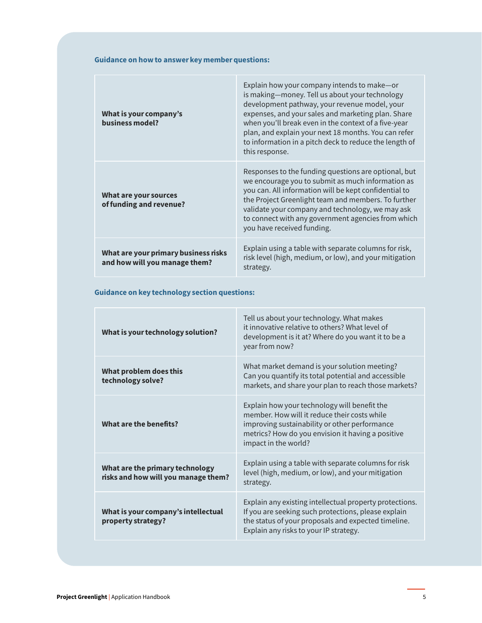#### Guidance on how to answer key member questions:

| What is your company's<br>business model?                             | Explain how your company intends to make-or<br>is making-money. Tell us about your technology<br>development pathway, your revenue model, your<br>expenses, and your sales and marketing plan. Share<br>when you'll break even in the context of a five-year<br>plan, and explain your next 18 months. You can refer<br>to information in a pitch deck to reduce the length of<br>this response. |
|-----------------------------------------------------------------------|--------------------------------------------------------------------------------------------------------------------------------------------------------------------------------------------------------------------------------------------------------------------------------------------------------------------------------------------------------------------------------------------------|
| What are your sources<br>of funding and revenue?                      | Responses to the funding questions are optional, but<br>we encourage you to submit as much information as<br>you can. All information will be kept confidential to<br>the Project Greenlight team and members. To further<br>validate your company and technology, we may ask<br>to connect with any government agencies from which<br>you have received funding.                                |
| What are your primary business risks<br>and how will you manage them? | Explain using a table with separate columns for risk,<br>risk level (high, medium, or low), and your mitigation<br>strategy.                                                                                                                                                                                                                                                                     |

Guidance on key technology section questions:

| What is your technology solution?                                      | Tell us about your technology. What makes<br>it innovative relative to others? What level of<br>development is it at? Where do you want it to be a<br>year from now?                                                       |
|------------------------------------------------------------------------|----------------------------------------------------------------------------------------------------------------------------------------------------------------------------------------------------------------------------|
| What problem does this<br>technology solve?                            | What market demand is your solution meeting?<br>Can you quantify its total potential and accessible<br>markets, and share your plan to reach those markets?                                                                |
| What are the benefits?                                                 | Explain how your technology will benefit the<br>member. How will it reduce their costs while<br>improving sustainability or other performance<br>metrics? How do you envision it having a positive<br>impact in the world? |
| What are the primary technology<br>risks and how will you manage them? | Explain using a table with separate columns for risk<br>level (high, medium, or low), and your mitigation<br>strategy.                                                                                                     |
| What is your company's intellectual<br>property strategy?              | Explain any existing intellectual property protections.<br>If you are seeking such protections, please explain<br>the status of your proposals and expected timeline.<br>Explain any risks to your IP strategy.            |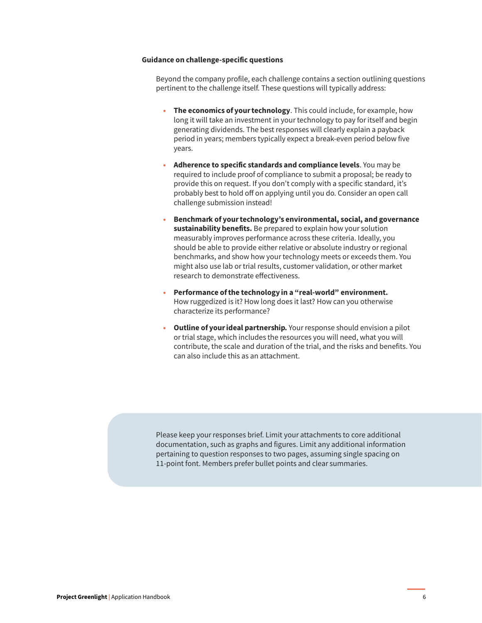#### Guidance on challenge-specific questions

Beyond the company profile, each challenge contains a section outlining questions pertinent to the challenge itself. These questions will typically address:

- The economics of your technology. This could include, for example, how long it will take an investment in your technology to pay for itself and begin generating dividends. The best responses will clearly explain a payback period in years; members typically expect a break-even period below five years.
- Adherence to specific standards and compliance levels. You may be required to include proof of compliance to submit a proposal; be ready to provide this on request. If you don't comply with a specific standard, it's probably best to hold off on applying until you do. Consider an open call challenge submission instead!
- Benchmark of your technology's environmental, social, and governance sustainability benefits. Be prepared to explain how your solution measurably improves performance across these criteria. Ideally, you should be able to provide either relative or absolute industry or regional benchmarks, and show how your technology meets or exceeds them. You might also use lab or trial results, customer validation, or other market research to demonstrate effectiveness.
- Performance of the technology in a "real-world" environment. How ruggedized is it? How long does it last? How can you otherwise characterize its performance?
- Outline of your ideal partnership. Your response should envision a pilot or trial stage, which includes the resources you will need, what you will contribute, the scale and duration of the trial, and the risks and benefits. You can also include this as an attachment.

Please keep your responses brief. Limit your attachments to core additional documentation, such as graphs and figures. Limit any additional information pertaining to question responses to two pages, assuming single spacing on 11-point font. Members prefer bullet points and clear summaries.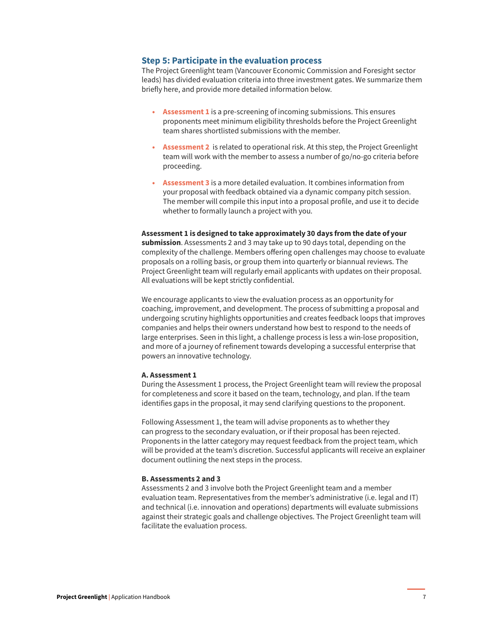#### Step 5: Participate in the evaluation process

The Project Greenlight team (Vancouver Economic Commission and Foresight sector leads) has divided evaluation criteria into three investment gates. We summarize them briefly here, and provide more detailed information below.

- Assessment 1 is a pre-screening of incoming submissions. This ensures proponents meet minimum eligibility thresholds before the Project Greenlight team shares shortlisted submissions with the member.
- Assessment 2 is related to operational risk. At this step, the Project Greenlight team will work with the member to assess a number of go/no-go criteria before proceeding.
- Assessment 3 is a more detailed evaluation. It combines information from your proposal with feedback obtained via a dynamic company pitch session. The member will compile this input into a proposal profile, and use it to decide whether to formally launch a project with you.

### Assessment 1 is designed to take approximately 30 days from the date of your

submission. Assessments 2 and 3 may take up to 90 days total, depending on the complexity of the challenge. Members offering open challenges may choose to evaluate proposals on a rolling basis, or group them into quarterly or biannual reviews. The Project Greenlight team will regularly email applicants with updates on their proposal. All evaluations will be kept strictly confidential.

We encourage applicants to view the evaluation process as an opportunity for coaching, improvement, and development. The process of submitting a proposal and undergoing scrutiny highlights opportunities and creates feedback loops that improves companies and helps their owners understand how best to respond to the needs of large enterprises. Seen in this light, a challenge process is less a win-lose proposition, and more of a journey of refinement towards developing a successful enterprise that powers an innovative technology.

#### A. Assessment 1

During the Assessment 1 process, the Project Greenlight team will review the proposal for completeness and score it based on the team, technology, and plan. If the team identifies gaps in the proposal, it may send clarifying questions to the proponent.

Following Assessment 1, the team will advise proponents as to whether they can progress to the secondary evaluation, or if their proposal has been rejected. Proponents in the latter category may request feedback from the project team, which will be provided at the team's discretion. Successful applicants will receive an explainer document outlining the next steps in the process.

#### B. Assessments 2 and 3

Assessments 2 and 3 involve both the Project Greenlight team and a member evaluation team. Representatives from the member's administrative (i.e. legal and IT) and technical (i.e. innovation and operations) departments will evaluate submissions against their strategic goals and challenge objectives. The Project Greenlight team will facilitate the evaluation process.